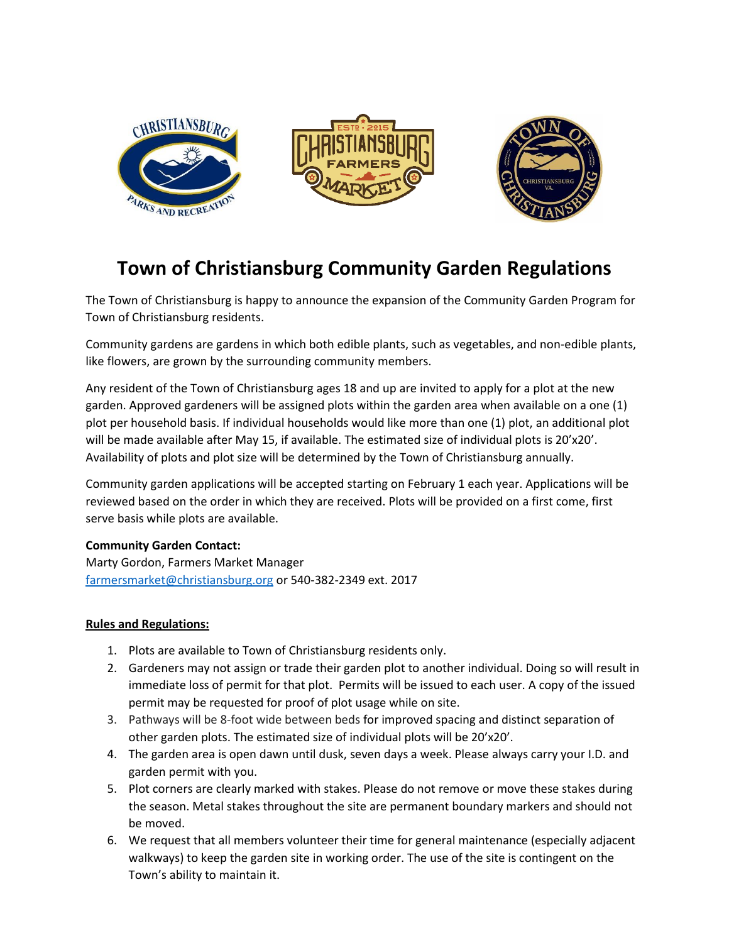





## **Town of Christiansburg Community Garden Regulations**

The Town of Christiansburg is happy to announce the expansion of the Community Garden Program for Town of Christiansburg residents.

Community gardens are gardens in which both edible plants, such as vegetables, and non-edible plants, like flowers, are grown by the surrounding community members.

Any resident of the Town of Christiansburg ages 18 and up are invited to apply for a plot at the new garden. Approved gardeners will be assigned plots within the garden area when available on a one (1) plot per household basis. If individual households would like more than one (1) plot, an additional plot will be made available after May 15, if available. The estimated size of individual plots is 20'x20'. Availability of plots and plot size will be determined by the Town of Christiansburg annually.

Community garden applications will be accepted starting on February 1 each year. Applications will be reviewed based on the order in which they are received. Plots will be provided on a first come, first serve basis while plots are available.

## **Community Garden Contact:**

Marty Gordon, Farmers Market Manager [farmersmarket@christiansburg.org](mailto:farmersmarket@christiansburg.org) or 540-382-2349 ext. 2017

## **Rules and Regulations:**

- 1. Plots are available to Town of Christiansburg residents only.
- 2. Gardeners may not assign or trade their garden plot to another individual. Doing so will result in immediate loss of permit for that plot. Permits will be issued to each user. A copy of the issued permit may be requested for proof of plot usage while on site.
- 3. Pathways will be 8-foot wide between beds for improved spacing and distinct separation of other garden plots. The estimated size of individual plots will be 20'x20'.
- 4. The garden area is open dawn until dusk, seven days a week. Please always carry your I.D. and garden permit with you.
- 5. Plot corners are clearly marked with stakes. Please do not remove or move these stakes during the season. Metal stakes throughout the site are permanent boundary markers and should not be moved.
- 6. We request that all members volunteer their time for general maintenance (especially adjacent walkways) to keep the garden site in working order. The use of the site is contingent on the Town's ability to maintain it.